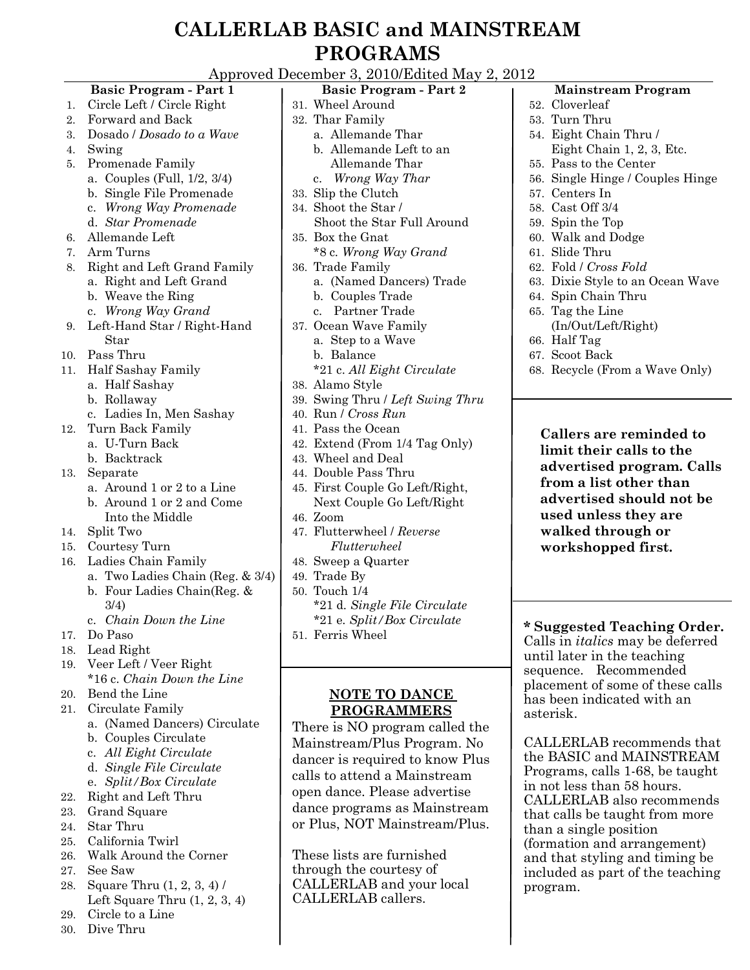## **CALLERLAB BASIC and MAINSTREAM PROGRAMS**

Approved December 3, 2010/Edited May 2, 2012

#### **Basic Program - Part 1** 1. Circle Left / Circle Right 2. Forward and Back 3. Dosado / *Dosado to a Wave* 4. Swing 5. Promenade Family a. Couples (Full, 1/2, 3/4) b. Single File Promenade c. *Wrong Way Promenade* d. *Star Promenade* 6. Allemande Left 7. Arm Turns 8. Right and Left Grand Family a. Right and Left Grand b. Weave the Ring c. *Wrong Way Grand* 9. Left-Hand Star / Right-Hand Star 10. Pass Thru 11. Half Sashay Family a. Half Sashay b. Rollaway c. Ladies In, Men Sashay 12. Turn Back Family a. U-Turn Back b. Backtrack 13. Separate a. Around 1 or 2 to a Line b. Around 1 or 2 and Come Into the Middle 14. Split Two 15. Courtesy Turn 16. Ladies Chain Family a. Two Ladies Chain (Reg. & 3/4) b. Four Ladies Chain(Reg. & 3/4) c. *Chain Down the Line* 17. Do Paso 18. Lead Right 19. Veer Left / Veer Right \*16 c. *Chain Down the Line* 20. Bend the Line 21. Circulate Family a. (Named Dancers) Circulate b. Couples Circulate c. *All Eight Circulate* d. *Single File Circulate* e. *Split/Box Circulate* 22. Right and Left Thru 23. Grand Square 24. Star Thru 25. California Twirl 26. Walk Around the Corner 27. See Saw 28. Square Thru (1, 2, 3, 4) / Left Square Thru (1, 2, 3, 4) **Basic Program - Part 2** 31. Wheel Around 32. Thar Family a. Allemande Thar b. Allemande Left to an Allemande Thar c. *Wrong Way Thar* 33. Slip the Clutch 34. Shoot the Star / Shoot the Star Full Around 35. Box the Gnat \*8 c*. Wrong Way Grand* 36. Trade Family a. (Named Dancers) Trade b. Couples Trade c. Partner Trade 37. Ocean Wave Family a. Step to a Wave b. Balance \*21 c. *All Eight Circulate* 38. Alamo Style 39. Swing Thru / *Left Swing Thru* 40. Run / *Cross Run* 41. Pass the Ocean 42. Extend (From 1/4 Tag Only) 43. Wheel and Deal 44. Double Pass Thru 45. First Couple Go Left/Right, Next Couple Go Left/Right 46. Zoom 47. Flutterwheel / *Reverse Flutterwheel* 48. Sweep a Quarter 49. Trade By 50. Touch 1/4 \*21 d*. Single File Circulate \**21 e*. Split/Box Circulate* 51. Ferris Wheel **NOTE TO DANCE PROGRAMMERS** There is NO program called the Mainstream/Plus Program. No dancer is required to know Plus calls to attend a Mainstream open dance. Please advertise dance programs as Mainstream or Plus, NOT Mainstream/Plus. These lists are furnished through the courtesy of CALLERLAB and your local CALLERLAB callers. **Mainstream Program** 52. Cloverleaf 53. Turn Thru 54. Eight Chain Thru / Eight Chain 1, 2, 3, Etc. 55. Pass to the Center 56. Single Hinge / Couples Hinge 57. Centers In 58. Cast Off 3/4 59. Spin the Top 60. Walk and Dodge 61. Slide Thru 62. Fold / *Cross Fold* 63. Dixie Style to an Ocean Wave 64. Spin Chain Thru 65. Tag the Line (In/Out/Left/Right) 66. Half Tag 67. Scoot Back 68. Recycle (From a Wave Only) **Callers are reminded to limit their calls to the advertised program. Calls from a list other than advertised should not be used unless they are walked through or workshopped first. \* Suggested Teaching Order.** Calls in *italics* may be deferred until later in the teaching sequence. Recommended placement of some of these calls has been indicated with an asterisk. CALLERLAB recommends that the BASIC and MAINSTREAM Programs, calls 1-68, be taught in not less than 58 hours. CALLERLAB also recommends that calls be taught from more than a single position (formation and arrangement) and that styling and timing be included as part of the teaching program.

29. Circle to a Line 30. Dive Thru